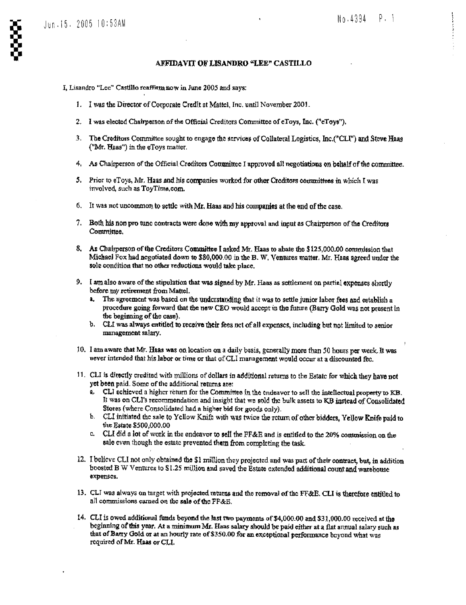## No-4394 P- 1

## AFFIDAVIT OF LISANDRO "LEE" CASTILLO

I, Lisandro "Lee" Castillo reaffirm now in June 2005 and says:

- 1. I was the Director of Corporate Credit at Mattel, Inc. until November 2001.
- 2. I was elected Chairperson of the Official Creditors Committee of eToys, Inc. ("cToys").
- 3 . The Creditors Committee sought to engage the services of Collateral Logistics, Inc .("CLI") and Steve Haas ("Mr. Haas") in. the eToys matter,
- 4. As Chairperson of the Official Creditors Committee I approved all negotiations on behalf of the committee.
- 5. Prior to eToys, Mr. Haas and his companies worked for other Creditors committees in which I was involved, such as ToyTirne,com,
- 6. It was not uncommon to settle with Mr. Haas and his companies at the end of the case.
- 7. Both his non pro tune contracts were done with my approval and input as Chairperson off the Creditors Committee,
- 8, As Chahperson ofthe Creditors Committee I asked MT. Haas to abate the \$125,000 .00 comrraiseion that Michael Fox had negotiated down to \$80,000.00 in the B. W. Ventures matter. Mr. Haas agreed under the sole condition that no other reductions would take place.
- 9. I am also aware of the stipulation that was signed by Mr. Haas as settlement on partial expenses shortly before my rctirernent from Mattel.
	- a. The agreement was based on the understanding that it was to settle junior labor fees and establish a procedure going forward hat the new CEO would accept in the future (Barry Gold wag not present in the beginning of the case) .
	- b. CLI was always entitled to receive their fees net of all expenses, including but not limited to senior management salary.
- 10. I am aware that Mr. Haas was on location on a daily basis, generally more than 50 hours per week. It was never intended that his labor or time or that of CLI management would occur at a discounted fee\_
- 11, CLI is directly credited with millions of dollars in additional, returns to the Estate for which they have not yet been paid . Some of the additional returns are!
	- a. CLI achieved a higher return for the Committee in the endeavor to sell the intellectual property to KB. It was on CLI's recommendation and insight that we sold the bulk assets to KB instead of Consolidated Stores (where Consolidated had a higher bid for goods only).
	- b. CLI initiated the sale to Yellow Knift with was twice the return of other bidders, Yellow Knife paid to the Estate \$500,000 .00
	- c. CLI did a lot of work in the endeavor to sell the FF&E and is entitled to the 20% commission on the sale even though the estate prevented them from completing the task.
- 12. I believe CLI not only obtained the \$1 million they projected and was part of their contract, but, in addition boosted B W Ventures to \$1.25 million and saved the Estate extended additional count and warehouse expenses.
- 13. CLI was always on target with projected returns and the removal of the FF&E. CLI is therefore entitled to all commissions carned on the sale of the FF&E.
- 14 . CLI is owed additional funds beyond the last two puyrnents of \$4,000\_00 and \$31,000 .00 received at the beginning of this year. At a minimum Mr. Haas salary should be paid either at a flat annual salary such as that of Barry Gold or at an hourly rate of \$350 .00 for an exceptional performance beyond what was required of Mx\_ Haas or CLI.